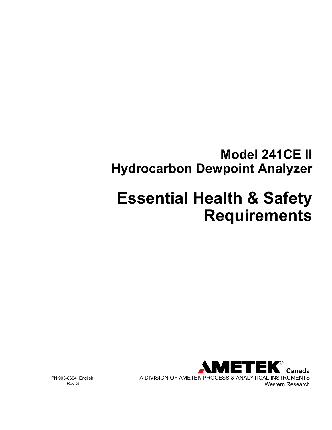# **Model 241CE II Hydrocarbon Dewpoint Analyzer**

# **Essential Health & Safety Requirements**



PN 903-8604\_English, Rev G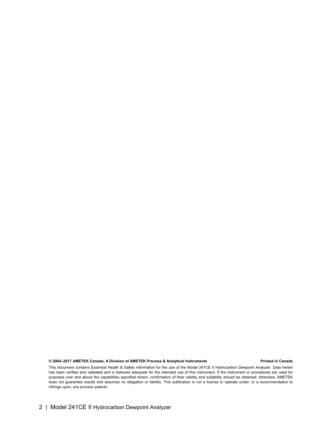#### **© 2004–2017 AMETEK Canada, A Division of AMETEK Process & Analytical Instruments Printed in Canada**

This document contains Essential Health & Safety information for the use of the Model 241CE II Hydrocarbon Dewpoint Analyzer. Data herein has been verified and validated and is believed adequate for the intended use of this instrument. If the instrument or procedures are used for purposes over and above the capabilities specified herein, confirmation of their validity and suitability should be obtained; otherwise, AMETEK does not guarantee results and assumes no obligation or liability. This publication is not a license to operate under, or a recommendation to infringe upon, any process patents.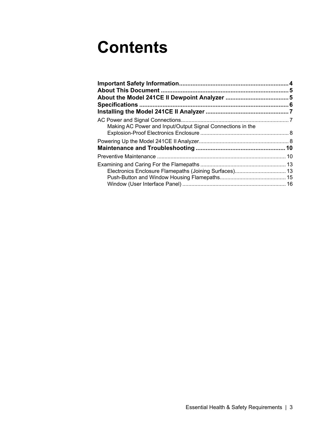# **Contents**

| Making AC Power and Input/Output Signal Connections in the |  |
|------------------------------------------------------------|--|
|                                                            |  |
|                                                            |  |
|                                                            |  |
|                                                            |  |
|                                                            |  |
| Electronics Enclosure Flamepaths (Joining Surfaces) 13     |  |
|                                                            |  |
|                                                            |  |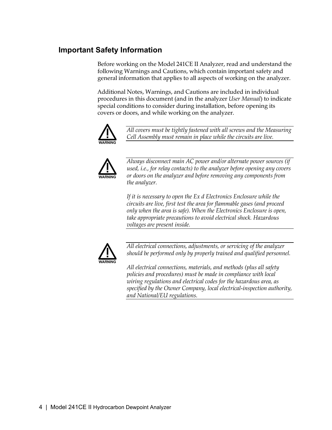# **Important Safety Information**

Before working on the Model 241CE II Analyzer, read and understand the following Warnings and Cautions, which contain important safety and general information that applies to all aspects of working on the analyzer.

Additional Notes, Warnings, and Cautions are included in individual procedures in this document (and in the analyzer *User Manual*) to indicate special conditions to consider during installation, before opening its covers or doors, and while working on the analyzer.



*All covers must be tightly fastened with all screws and the Measuring Cell Assembly must remain in place while the circuits are live.* 



*Always disconnect main AC power and/or alternate power sources (if used, i.e., for relay contacts) to the analyzer before opening any covers or doors on the analyzer and before removing any components from the analyzer.* 

*If it is necessary to open the Ex d Electronics Enclosure while the circuits are live, first test the area for flammable gases (and proceed only when the area is safe). When the Electronics Enclosure is open, take appropriate precautions to avoid electrical shock. Hazardous voltages are present inside.* 



*All electrical connections, adjustments, or servicing of the analyzer should be performed only by properly trained and qualified personnel.* 

*All electrical connections, materials, and methods (plus all safety policies and procedures) must be made in compliance with local wiring regulations and electrical codes for the hazardous area, as specified by the Owner Company, local electrical-inspection authority, and National/EU regulations.*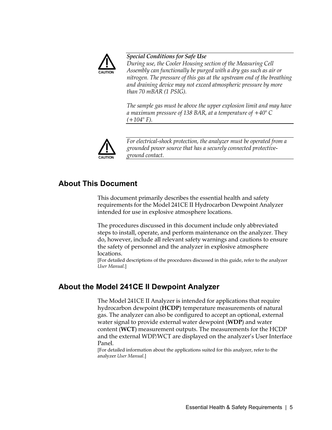

#### *Special Conditions for Safe Use*

*During use, the Cooler Housing section of the Measuring Cell Assembly can functionally be purged with a dry gas such as air or nitrogen. The pressure of this gas at the upstream end of the breathing and draining device may not exceed atmospheric pressure by more than 70 mBAR (1 PSIG).* 

*The sample gas must be above the upper explosion limit and may have a maximum pressure of 138 BAR, at a temperature of +40° C (+104° F).* 



*For electrical-shock protection, the analyzer must be operated from a grounded power source that has a securely connected protectiveground contact.* 

# **About This Document**

This document primarily describes the essential health and safety requirements for the Model 241CE II Hydrocarbon Dewpoint Analyzer intended for use in explosive atmosphere locations.

The procedures discussed in this document include only abbreviated steps to install, operate, and perform maintenance on the analyzer. They do, however, include all relevant safety warnings and cautions to ensure the safety of personnel and the analyzer in explosive atmosphere locations.

[For detailed descriptions of the procedures discussed in this guide, refer to the analyzer *User Manual*.]

# **About the Model 241CE II Dewpoint Analyzer**

The Model 241CE II Analyzer is intended for applications that require hydrocarbon dewpoint (**HCDP**) temperature measurements of natural gas. The analyzer can also be configured to accept an optional, external water signal to provide external water dewpoint (**WDP**) and water content (**WCT**) measurement outputs. The measurements for the HCDP and the external WDP/WCT are displayed on the analyzer's User Interface Panel.

[For detailed information about the applications suited for this analyzer, refer to the analyzer *User Manual*.]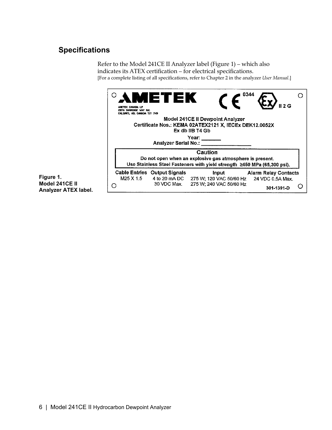# **Specifications**

Refer to the Model 241CE II Analyzer label (Figure 1) – which also indicates its ATEX certification – for electrical specifications. [For a complete listing of all specifications, refer to Chapter 2 in the analyzer *User Manual*.]

|                          | 0344<br>METEK<br>ANETEK CANADA LP<br>2076 SUNRIDGE VAY N.E.<br>CALGARY, AB, CANADA TIY 7H9<br>Model 241CE II Dewpoint Analyzer<br>Certificate Nos.: KEMA 02ATEX2121 X, IECEx DEK12.0052X<br>Ex db IIB T4 Gb<br>Year: $\_\_$                                                                                                                                                           |
|--------------------------|---------------------------------------------------------------------------------------------------------------------------------------------------------------------------------------------------------------------------------------------------------------------------------------------------------------------------------------------------------------------------------------|
| $\mathbf{I}$<br>X label. | <b>Analyzer Serial No.:</b><br>Caution<br>Do not open when an explosive gas atmosphere is present.<br>Use Stainless Steel Fasteners with yield strength ≥450 MPa (65,300 psi).<br><b>Cable Entries Output Signals</b><br>Input<br>Alarm Relay Contacts<br>M25 X 1.5<br>4 to 20 mA DC 275 W; 120 VAC 50/60 Hz<br>24 VDC 0.5A Max.<br>30 VDC Max. 275 W; 240 VAC 50/60 Hz<br>301-1391-D |

**Figure 1. Model 241CE Analyzer ATE**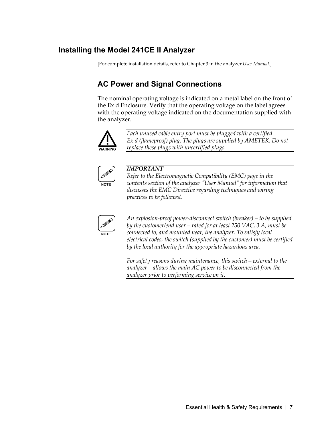# **Installing the Model 241CE II Analyzer**

[For complete installation details, refer to Chapter 3 in the analyzer *User Manual*.]

# **AC Power and Signal Connections**

The nominal operating voltage is indicated on a metal label on the front of the Ex d Enclosure. Verify that the operating voltage on the label agrees with the operating voltage indicated on the documentation supplied with the analyzer.



*Each unused cable entry port must be plugged with a certified Ex d (flameproof) plug. The plugs are supplied by AMETEK. Do not replace these plugs with uncertified plugs.* 



#### *IMPORTANT*

*Refer to the Electromagnetic Compatibility (EMC) page in the contents section of the analyzer "User Manual" for information that discusses the EMC Directive regarding techniques and wiring practices to be followed.* 



*An explosion-proof power-disconnect switch (breaker) – to be supplied by the customer/end user – rated for at least 250 VAC, 3 A, must be connected to, and mounted near, the analyzer. To satisfy local electrical codes, the switch (supplied by the customer) must be certified by the local authority for the appropriate hazardous area.*

*For safety reasons during maintenance, this switch – external to the analyzer – allows the main AC power to be disconnected from the analyzer prior to performing service on it.*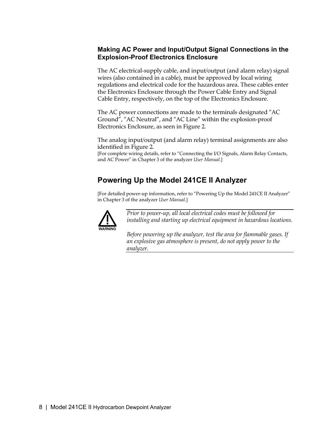### **Making AC Power and Input/Output Signal Connections in the Explosion-Proof Electronics Enclosure**

The AC electrical-supply cable, and input/output (and alarm relay) signal wires (also contained in a cable), must be approved by local wiring regulations and electrical code for the hazardous area. These cables enter the Electronics Enclosure through the Power Cable Entry and Signal Cable Entry, respectively, on the top of the Electronics Enclosure.

The AC power connections are made to the terminals designated "AC Ground", "AC Neutral", and "AC Line" within the explosion-proof Electronics Enclosure, as seen in Figure 2.

The analog input/output (and alarm relay) terminal assignments are also identified in Figure 2.

[For complete wiring details, refer to "Connecting the I/O Signals, Alarm Relay Contacts, and AC Power" in Chapter 3 of the analyzer *User Manual*.]

# **Powering Up the Model 241CE II Analyzer**

[For detailed power-up information, refer to "Powering Up the Model 241CE II Analyzer" in Chapter 3 of the analyzer *User Manual*.]



*Prior to power-up, all local electrical codes must be followed for installing and starting up electrical equipment in hazardous locations.* 

*Before powering up the analyzer, test the area for flammable gases. If an explosive gas atmosphere is present, do not apply power to the analyzer.*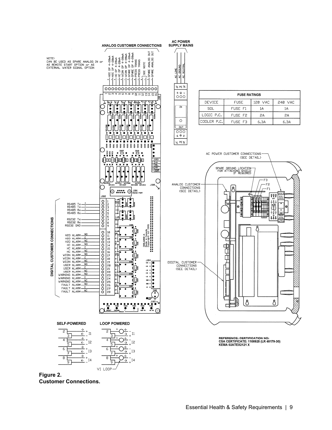

**Figure 2. Customer Connections.**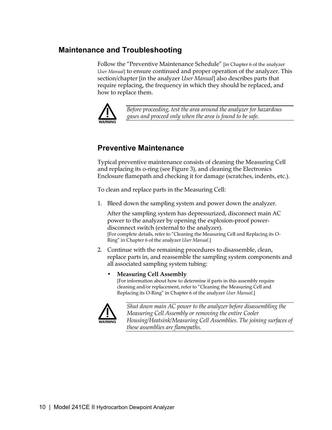# **Maintenance and Troubleshooting**

Follow the "Preventive Maintenance Schedule" [in Chapter 6 of the analyzer *User Manual*] to ensure continued and proper operation of the analyzer. This section/chapter [in the analyzer *User Manual*] also describes parts that require replacing, the frequency in which they should be replaced, and how to replace them.



*Before proceeding, test the area around the analyzer for hazardous gases and proceed only when the area is found to be safe.* 

# **Preventive Maintenance**

Typical preventive maintenance consists of cleaning the Measuring Cell and replacing its o-ring (see Figure 3), and cleaning the Electronics Enclosure flamepath and checking it for damage (scratches, indents, etc.).

To clean and replace parts in the Measuring Cell:

1. Bleed down the sampling system and power down the analyzer.

 After the sampling system has depressurized, disconnect main AC power to the analyzer by opening the explosion-proof powerdisconnect switch (external to the analyzer). [For complete details, refer to "Cleaning the Measuring Cell and Replacing its O-Ring" in Chapter 6 of the analyzer *User Manual.*]

2. Continue with the remaining procedures to disassemble, clean, replace parts in, and reassemble the sampling system components and all associated sampling system tubing:

#### • **Measuring Cell Assembly**

[For information about how to determine if parts in this assembly require cleaning and/or replacement, refer to "Cleaning the Measuring Cell and Replacing its O-Ring" in Chapter 6 of the analyzer *User Manual*.]



*Shut down main AC power to the analyzer before disassembling the Measuring Cell Assembly or removing the entire Cooler Housing/Heatsink/Measuring Cell Assemblies. The joining surfaces of these assemblies are flamepaths.*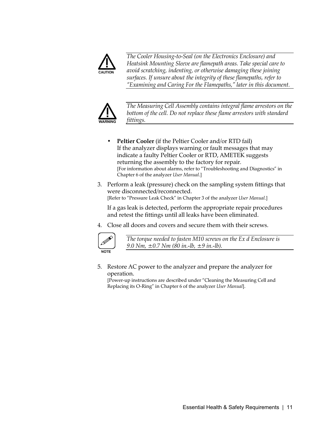

*The Cooler Housing-to-Seal (on the Electronics Enclosure) and Heatsink Mounting Sleeve are flamepath areas. Take special care to avoid scratching, indenting, or otherwise damaging these joining surfaces. If unsure about the integrity of these flamepaths, refer to "Examining and Caring For the Flamepaths," later in this document.* 



*The Measuring Cell Assembly contains integral flame arrestors on the bottom of the cell. Do not replace these flame arrestors with standard fittings.* 

- **Peltier Cooler** (if the Peltier Cooler and/or RTD fail) If the analyzer displays warning or fault messages that may indicate a faulty Peltier Cooler or RTD, AMETEK suggests returning the assembly to the factory for repair*.* [For information about alarms, refer to "Troubleshooting and Diagnostics" in Chapter 6 of the analyzer *User Manual*.]
- 3. Perform a leak (pressure) check on the sampling system fittings that were disconnected/reconnected. [Refer to "Pressure Leak Check" in Chapter 3 of the analyzer *User Manual*.]

 If a gas leak is detected, perform the appropriate repair procedures and retest the fittings until all leaks have been eliminated.

4. Close all doors and covers and secure them with their screws.



*The torque needed to fasten M10 screws on the Ex d Enclosure is 9.0 Nm, ±0.7 Nm (80 in.-lb, ±9 in.-lb).* 

5. Restore AC power to the analyzer and prepare the analyzer for operation.

[Power-up instructions are described under "Cleaning the Measuring Cell and Replacing its O-Ring" in Chapter 6 of the analyzer *User Manual*].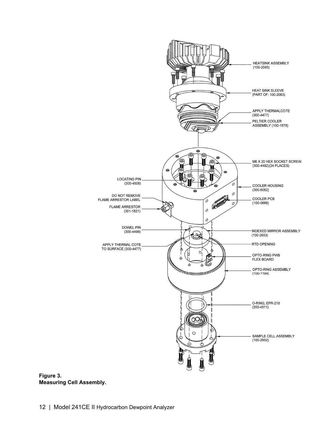

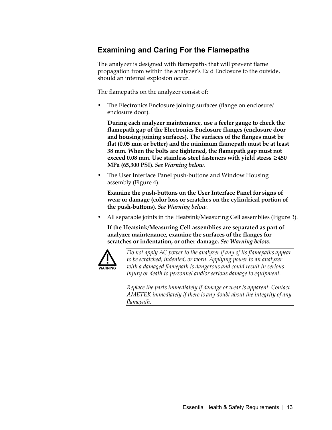# **Examining and Caring For the Flamepaths**

The analyzer is designed with flamepaths that will prevent flame propagation from within the analyzer's Ex d Enclosure to the outside, should an internal explosion occur.

The flamepaths on the analyzer consist of:

• The Electronics Enclosure joining surfaces (flange on enclosure/ enclosure door).

 **During each analyzer maintenance, use a feeler gauge to check the flamepath gap of the Electronics Enclosure flanges (enclosure door and housing joining surfaces). The surfaces of the flanges must be flat (0.05 mm or better) and the minimum flamepath must be at least 38 mm. When the bolts are tightened, the flamepath gap must not exceed 0.08 mm. Use stainless steel fasteners with yield stress ≥450 MPa (65,300 PSI).** *See Warning below.*

• The User Interface Panel push-buttons and Window Housing assembly (Figure 4).

 **Examine the push-buttons on the User Interface Panel for signs of wear or damage (color loss or scratches on the cylindrical portion of the push-buttons).** *See Warning below.*

• All separable joints in the Heatsink/Measuring Cell assemblies (Figure 3).

 **If the Heatsink/Measuring Cell assemblies are separated as part of analyzer maintenance, examine the surfaces of the flanges for scratches or indentation, or other damage.** *See Warning below.*



*Do not apply AC power to the analyzer if any of its flamepaths appear to be scratched, indented, or worn. Applying power to an analyzer with a damaged flamepath is dangerous and could result in serious injury or death to personnel and/or serious damage to equipment.* 

*Replace the parts immediately if damage or wear is apparent. Contact AMETEK immediately if there is any doubt about the integrity of any flamepath.*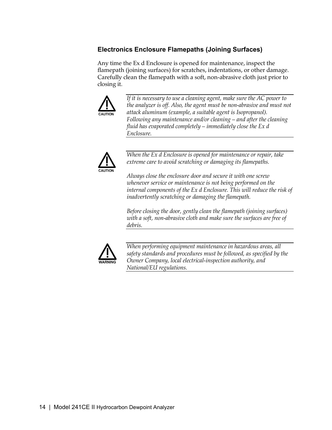# **Electronics Enclosure Flamepaths (Joining Surfaces)**

Any time the Ex d Enclosure is opened for maintenance, inspect the flamepath (joining surfaces) for scratches, indentations, or other damage. Carefully clean the flamepath with a soft, non-abrasive cloth just prior to closing it.



*If it is necessary to use a cleaning agent, make sure the AC power to the analyzer is off. Also, the agent must be non-abrasive and must not attack aluminum (example, a suitable agent is Isopropanol). Following any maintenance and/or cleaning – and after the cleaning fluid has evaporated completely – immediately close the Ex d Enclosure.* 



*When the Ex d Enclosure is opened for maintenance or repair, take extreme care to avoid scratching or damaging its flamepaths.* 

*Always close the enclosure door and secure it with one screw whenever service or maintenance is not being performed on the internal components of the Ex d Enclosure. This will reduce the risk of inadvertently scratching or damaging the flamepath.* 

*Before closing the door, gently clean the flamepath (joining surfaces) with a soft, non-abrasive cloth and make sure the surfaces are free of debris.* 



*When performing equipment maintenance in hazardous areas, all safety standards and procedures must be followed, as specified by the Owner Company, local electrical-inspection authority, and National/EU regulations.*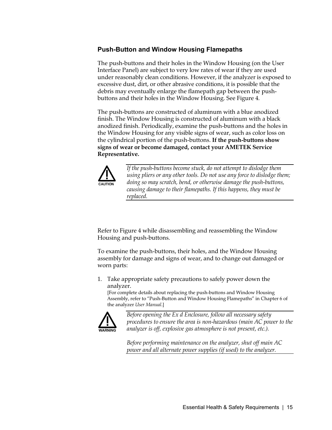#### **Push-Button and Window Housing Flamepaths**

The push-buttons and their holes in the Window Housing (on the User Interface Panel) are subject to very low rates of wear if they are used under reasonably clean conditions. However, if the analyzer is exposed to excessive dust, dirt, or other abrasive conditions, it is possible that the debris may eventually enlarge the flamepath gap between the pushbuttons and their holes in the Window Housing. See Figure 4.

The push-buttons are constructed of aluminum with a blue anodized finish. The Window Housing is constructed of aluminum with a black anodized finish. Periodically, examine the push-buttons and the holes in the Window Housing for any visible signs of wear, such as color loss on the cylindrical portion of the push-buttons. **If the push-buttons show signs of wear or become damaged, contact your AMETEK Service Representative.**



*If the push-buttons become stuck, do not attempt to dislodge them using pliers or any other tools. Do not use any force to dislodge them; doing so may scratch, bend, or otherwise damage the push-buttons, causing damage to their flamepaths. If this happens, they must be replaced.* 

Refer to Figure 4 while disassembling and reassembling the Window Housing and push-buttons.

To examine the push-buttons, their holes, and the Window Housing assembly for damage and signs of wear, and to change out damaged or worn parts:

1. Take appropriate safety precautions to safely power down the analyzer.

[For complete details about replacing the push-buttons and Window Housing Assembly, refer to "Push-Button and Window Housing Flamepaths" in Chapter 6 of the analyzer *User Manual*.]



*Before opening the Ex d Enclosure, follow all necessary safety procedures to ensure the area is non-hazardous (main AC power to the analyzer is off, explosive gas atmosphere is not present, etc.).* 

*Before performing maintenance on the analyzer, shut off main AC power and all alternate power supplies (if used) to the analyzer.*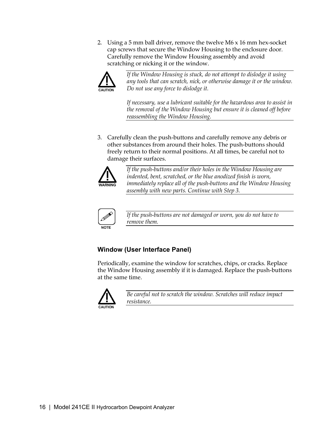2. Using a 5 mm ball driver, remove the twelve M6 x 16 mm hex-socket cap screws that secure the Window Housing to the enclosure door. Carefully remove the Window Housing assembly and avoid scratching or nicking it or the window.



*If the Window Housing is stuck, do not attempt to dislodge it using any tools that can scratch, nick, or otherwise damage it or the window. Do not use any force to dislodge it.* 

*If necessary, use a lubricant suitable for the hazardous area to assist in the removal of the Window Housing but ensure it is cleaned off before reassembling the Window Housing.* 

3. Carefully clean the push-buttons and carefully remove any debris or other substances from around their holes. The push-buttons should freely return to their normal positions. At all times, be careful not to damage their surfaces.



*If the push-buttons and/or their holes in the Window Housing are indented, bent, scratched, or the blue anodized finish is worn, immediately replace all of the push-buttons and the Window Housing assembly with new parts. Continue with Step 3.* 



*If the push-buttons are not damaged or worn, you do not have to remove them.* 

# **Window (User Interface Panel)**

Periodically, examine the window for scratches, chips, or cracks. Replace the Window Housing assembly if it is damaged. Replace the push-buttons at the same time.



*Be careful not to scratch the window. Scratches will reduce impact resistance.*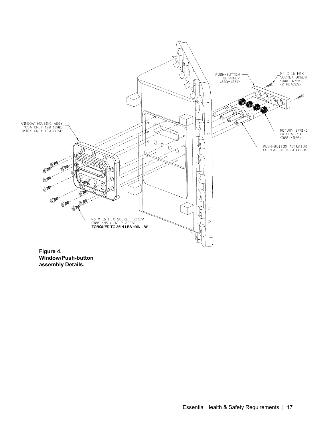

**Figure 4. Window/Push-button assembly Details.**